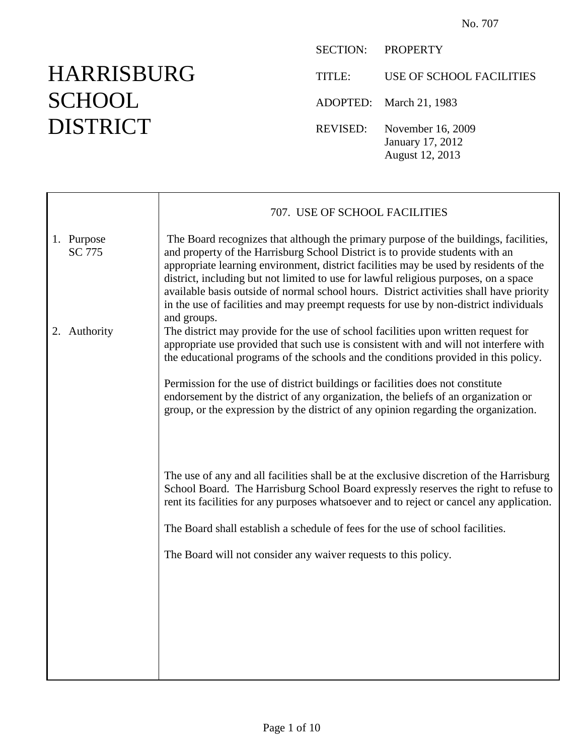# HARRISBURG **SCHOOL** DISTRICT

|               | SECTION: PROPERTY                                        |
|---------------|----------------------------------------------------------|
| <b>TITLE:</b> | USE OF SCHOOL FACILITIES                                 |
|               | ADOPTED: March 21, 1983                                  |
| REVISED:      | November 16, 2009<br>January 17, 2012<br>August 12, 2013 |

|                             | 707. USE OF SCHOOL FACILITIES                                                                                                                                                                                                                                                                                                                                                                                                                                                                                                                             |  |
|-----------------------------|-----------------------------------------------------------------------------------------------------------------------------------------------------------------------------------------------------------------------------------------------------------------------------------------------------------------------------------------------------------------------------------------------------------------------------------------------------------------------------------------------------------------------------------------------------------|--|
| 1. Purpose<br><b>SC 775</b> | The Board recognizes that although the primary purpose of the buildings, facilities,<br>and property of the Harrisburg School District is to provide students with an<br>appropriate learning environment, district facilities may be used by residents of the<br>district, including but not limited to use for lawful religious purposes, on a space<br>available basis outside of normal school hours. District activities shall have priority<br>in the use of facilities and may preempt requests for use by non-district individuals<br>and groups. |  |
| 2. Authority                | The district may provide for the use of school facilities upon written request for<br>appropriate use provided that such use is consistent with and will not interfere with<br>the educational programs of the schools and the conditions provided in this policy.                                                                                                                                                                                                                                                                                        |  |
|                             | Permission for the use of district buildings or facilities does not constitute<br>endorsement by the district of any organization, the beliefs of an organization or<br>group, or the expression by the district of any opinion regarding the organization.                                                                                                                                                                                                                                                                                               |  |
|                             | The use of any and all facilities shall be at the exclusive discretion of the Harrisburg<br>School Board. The Harrisburg School Board expressly reserves the right to refuse to<br>rent its facilities for any purposes whatsoever and to reject or cancel any application.<br>The Board shall establish a schedule of fees for the use of school facilities.                                                                                                                                                                                             |  |
|                             | The Board will not consider any waiver requests to this policy.                                                                                                                                                                                                                                                                                                                                                                                                                                                                                           |  |
|                             |                                                                                                                                                                                                                                                                                                                                                                                                                                                                                                                                                           |  |
|                             |                                                                                                                                                                                                                                                                                                                                                                                                                                                                                                                                                           |  |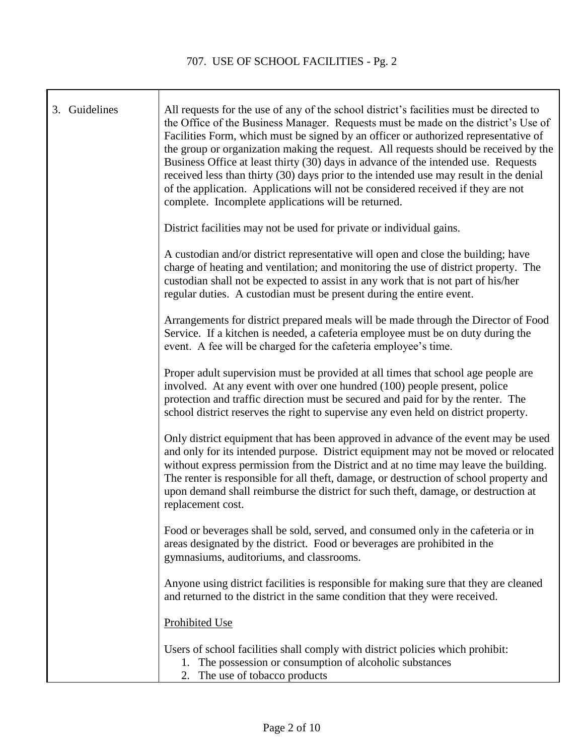| 3. Guidelines | All requests for the use of any of the school district's facilities must be directed to<br>the Office of the Business Manager. Requests must be made on the district's Use of<br>Facilities Form, which must be signed by an officer or authorized representative of<br>the group or organization making the request. All requests should be received by the<br>Business Office at least thirty (30) days in advance of the intended use. Requests<br>received less than thirty (30) days prior to the intended use may result in the denial<br>of the application. Applications will not be considered received if they are not<br>complete. Incomplete applications will be returned. |
|---------------|-----------------------------------------------------------------------------------------------------------------------------------------------------------------------------------------------------------------------------------------------------------------------------------------------------------------------------------------------------------------------------------------------------------------------------------------------------------------------------------------------------------------------------------------------------------------------------------------------------------------------------------------------------------------------------------------|
|               | District facilities may not be used for private or individual gains.                                                                                                                                                                                                                                                                                                                                                                                                                                                                                                                                                                                                                    |
|               | A custodian and/or district representative will open and close the building; have<br>charge of heating and ventilation; and monitoring the use of district property. The<br>custodian shall not be expected to assist in any work that is not part of his/her<br>regular duties. A custodian must be present during the entire event.                                                                                                                                                                                                                                                                                                                                                   |
|               | Arrangements for district prepared meals will be made through the Director of Food<br>Service. If a kitchen is needed, a cafeteria employee must be on duty during the<br>event. A fee will be charged for the cafeteria employee's time.                                                                                                                                                                                                                                                                                                                                                                                                                                               |
|               | Proper adult supervision must be provided at all times that school age people are<br>involved. At any event with over one hundred (100) people present, police<br>protection and traffic direction must be secured and paid for by the renter. The<br>school district reserves the right to supervise any even held on district property.                                                                                                                                                                                                                                                                                                                                               |
|               | Only district equipment that has been approved in advance of the event may be used<br>and only for its intended purpose. District equipment may not be moved or relocated<br>without express permission from the District and at no time may leave the building.<br>The renter is responsible for all theft, damage, or destruction of school property and<br>upon demand shall reimburse the district for such theft, damage, or destruction at<br>replacement cost.                                                                                                                                                                                                                   |
|               | Food or beverages shall be sold, served, and consumed only in the cafeteria or in<br>areas designated by the district. Food or beverages are prohibited in the<br>gymnasiums, auditoriums, and classrooms.                                                                                                                                                                                                                                                                                                                                                                                                                                                                              |
|               | Anyone using district facilities is responsible for making sure that they are cleaned<br>and returned to the district in the same condition that they were received.                                                                                                                                                                                                                                                                                                                                                                                                                                                                                                                    |
|               | <b>Prohibited Use</b>                                                                                                                                                                                                                                                                                                                                                                                                                                                                                                                                                                                                                                                                   |
|               | Users of school facilities shall comply with district policies which prohibit:<br>1. The possession or consumption of alcoholic substances<br>The use of tobacco products<br>2.                                                                                                                                                                                                                                                                                                                                                                                                                                                                                                         |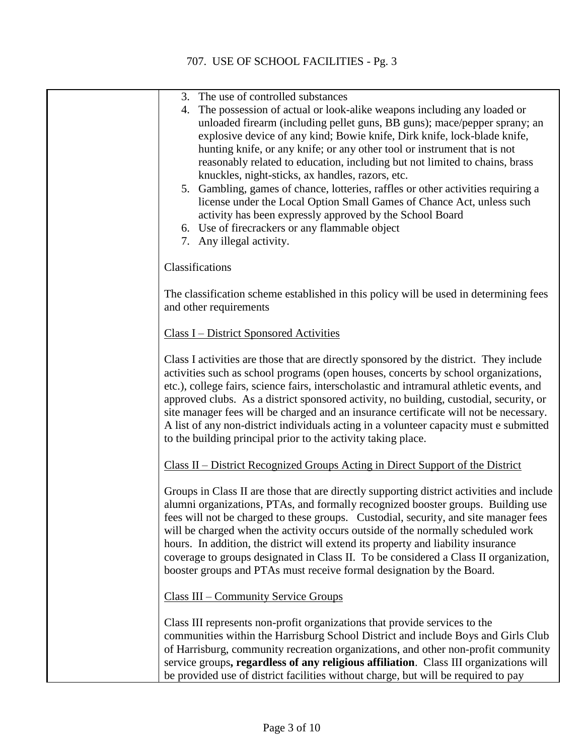## 707. USE OF SCHOOL FACILITIES - Pg. 3

| 3. The use of controlled substances                                                                                                                   |
|-------------------------------------------------------------------------------------------------------------------------------------------------------|
| The possession of actual or look-alike weapons including any loaded or<br>4.                                                                          |
| unloaded firearm (including pellet guns, BB guns); mace/pepper sprany; an<br>explosive device of any kind; Bowie knife, Dirk knife, lock-blade knife, |
| hunting knife, or any knife; or any other tool or instrument that is not                                                                              |
| reasonably related to education, including but not limited to chains, brass                                                                           |
| knuckles, night-sticks, ax handles, razors, etc.                                                                                                      |
| 5. Gambling, games of chance, lotteries, raffles or other activities requiring a                                                                      |
| license under the Local Option Small Games of Chance Act, unless such                                                                                 |
| activity has been expressly approved by the School Board                                                                                              |
| 6. Use of firecrackers or any flammable object                                                                                                        |
| 7. Any illegal activity.                                                                                                                              |
| Classifications                                                                                                                                       |
| The classification scheme established in this policy will be used in determining fees                                                                 |
| and other requirements                                                                                                                                |
| <b>Class I – District Sponsored Activities</b>                                                                                                        |
| Class I activities are those that are directly sponsored by the district. They include                                                                |
| activities such as school programs (open houses, concerts by school organizations,                                                                    |
| etc.), college fairs, science fairs, interscholastic and intramural athletic events, and                                                              |
| approved clubs. As a district sponsored activity, no building, custodial, security, or                                                                |
| site manager fees will be charged and an insurance certificate will not be necessary.                                                                 |
| A list of any non-district individuals acting in a volunteer capacity must e submitted                                                                |
| to the building principal prior to the activity taking place.                                                                                         |
| Class II – District Recognized Groups Acting in Direct Support of the District                                                                        |
| Groups in Class II are those that are directly supporting district activities and include                                                             |
| alumni organizations, PTAs, and formally recognized booster groups. Building use                                                                      |
| fees will not be charged to these groups. Custodial, security, and site manager fees                                                                  |
| will be charged when the activity occurs outside of the normally scheduled work                                                                       |
| hours. In addition, the district will extend its property and liability insurance                                                                     |
| coverage to groups designated in Class II. To be considered a Class II organization,                                                                  |
| booster groups and PTAs must receive formal designation by the Board.                                                                                 |
| Class III – Community Service Groups                                                                                                                  |
| Class III represents non-profit organizations that provide services to the                                                                            |
| communities within the Harrisburg School District and include Boys and Girls Club                                                                     |
| of Harrisburg, community recreation organizations, and other non-profit community                                                                     |
| service groups, regardless of any religious affiliation. Class III organizations will                                                                 |
| be provided use of district facilities without charge, but will be required to pay                                                                    |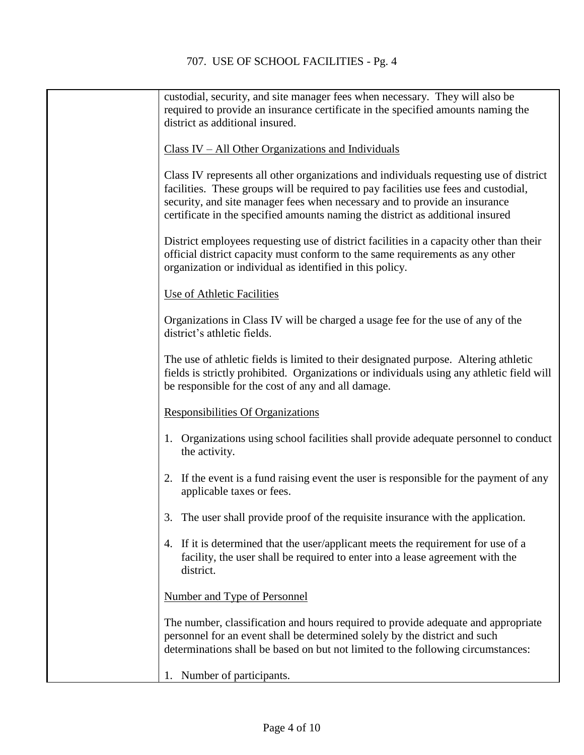| custodial, security, and site manager fees when necessary. They will also be                                                                                                                                                                                                                                                                  |
|-----------------------------------------------------------------------------------------------------------------------------------------------------------------------------------------------------------------------------------------------------------------------------------------------------------------------------------------------|
| required to provide an insurance certificate in the specified amounts naming the<br>district as additional insured.                                                                                                                                                                                                                           |
|                                                                                                                                                                                                                                                                                                                                               |
| $Class IV - All Other Organizations and Individuals$                                                                                                                                                                                                                                                                                          |
| Class IV represents all other organizations and individuals requesting use of district<br>facilities. These groups will be required to pay facilities use fees and custodial,<br>security, and site manager fees when necessary and to provide an insurance<br>certificate in the specified amounts naming the district as additional insured |
| District employees requesting use of district facilities in a capacity other than their<br>official district capacity must conform to the same requirements as any other<br>organization or individual as identified in this policy.                                                                                                          |
| Use of Athletic Facilities                                                                                                                                                                                                                                                                                                                    |
| Organizations in Class IV will be charged a usage fee for the use of any of the<br>district's athletic fields.                                                                                                                                                                                                                                |
| The use of athletic fields is limited to their designated purpose. Altering athletic<br>fields is strictly prohibited. Organizations or individuals using any athletic field will<br>be responsible for the cost of any and all damage.                                                                                                       |
| <b>Responsibilities Of Organizations</b>                                                                                                                                                                                                                                                                                                      |
| Organizations using school facilities shall provide adequate personnel to conduct<br>the activity.                                                                                                                                                                                                                                            |
| 2. If the event is a fund raising event the user is responsible for the payment of any<br>applicable taxes or fees.                                                                                                                                                                                                                           |
| 3. The user shall provide proof of the requisite insurance with the application.                                                                                                                                                                                                                                                              |
| 4. If it is determined that the user/applicant meets the requirement for use of a<br>facility, the user shall be required to enter into a lease agreement with the<br>district.                                                                                                                                                               |
| <b>Number and Type of Personnel</b>                                                                                                                                                                                                                                                                                                           |
| The number, classification and hours required to provide adequate and appropriate<br>personnel for an event shall be determined solely by the district and such<br>determinations shall be based on but not limited to the following circumstances:                                                                                           |
| Number of participants.<br>1.                                                                                                                                                                                                                                                                                                                 |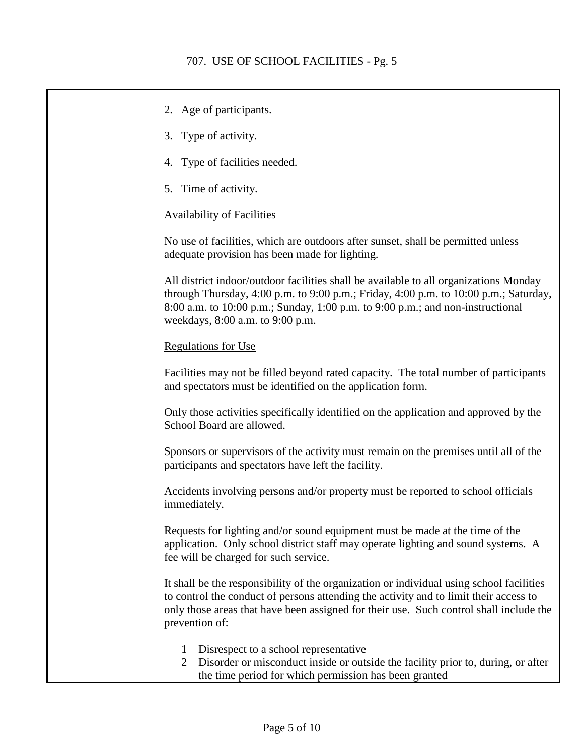| 2. Age of participants.                                                                                                                                                                                                                                                                             |
|-----------------------------------------------------------------------------------------------------------------------------------------------------------------------------------------------------------------------------------------------------------------------------------------------------|
| 3. Type of activity.                                                                                                                                                                                                                                                                                |
| 4. Type of facilities needed.                                                                                                                                                                                                                                                                       |
| 5. Time of activity.                                                                                                                                                                                                                                                                                |
| <b>Availability of Facilities</b>                                                                                                                                                                                                                                                                   |
| No use of facilities, which are outdoors after sunset, shall be permitted unless<br>adequate provision has been made for lighting.                                                                                                                                                                  |
| All district indoor/outdoor facilities shall be available to all organizations Monday<br>through Thursday, 4:00 p.m. to 9:00 p.m.; Friday, 4:00 p.m. to 10:00 p.m.; Saturday,<br>8:00 a.m. to 10:00 p.m.; Sunday, 1:00 p.m. to 9:00 p.m.; and non-instructional<br>weekdays, 8:00 a.m. to 9:00 p.m. |
| <b>Regulations for Use</b>                                                                                                                                                                                                                                                                          |
| Facilities may not be filled beyond rated capacity. The total number of participants<br>and spectators must be identified on the application form.                                                                                                                                                  |
| Only those activities specifically identified on the application and approved by the<br>School Board are allowed.                                                                                                                                                                                   |
| Sponsors or supervisors of the activity must remain on the premises until all of the<br>participants and spectators have left the facility.                                                                                                                                                         |
| Accidents involving persons and/or property must be reported to school officials<br>immediately.                                                                                                                                                                                                    |
| Requests for lighting and/or sound equipment must be made at the time of the<br>application. Only school district staff may operate lighting and sound systems. A<br>fee will be charged for such service.                                                                                          |
| It shall be the responsibility of the organization or individual using school facilities<br>to control the conduct of persons attending the activity and to limit their access to<br>only those areas that have been assigned for their use. Such control shall include the<br>prevention of:       |
| Disrespect to a school representative<br>$\mathbf{I}$<br>$\overline{2}$<br>Disorder or misconduct inside or outside the facility prior to, during, or after<br>the time period for which permission has been granted                                                                                |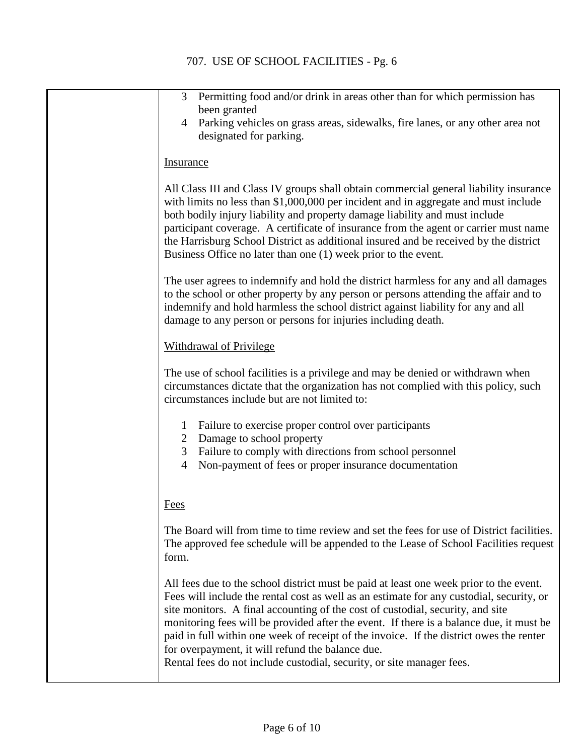| Permitting food and/or drink in areas other than for which permission has<br>3 <sup>1</sup><br>been granted                                                                                                                                                                                                                                                                                                                                                                                                                                                                             |
|-----------------------------------------------------------------------------------------------------------------------------------------------------------------------------------------------------------------------------------------------------------------------------------------------------------------------------------------------------------------------------------------------------------------------------------------------------------------------------------------------------------------------------------------------------------------------------------------|
| Parking vehicles on grass areas, sidewalks, fire lanes, or any other area not<br>$\overline{4}$<br>designated for parking.                                                                                                                                                                                                                                                                                                                                                                                                                                                              |
| <b>Insurance</b>                                                                                                                                                                                                                                                                                                                                                                                                                                                                                                                                                                        |
| All Class III and Class IV groups shall obtain commercial general liability insurance<br>with limits no less than \$1,000,000 per incident and in aggregate and must include<br>both bodily injury liability and property damage liability and must include<br>participant coverage. A certificate of insurance from the agent or carrier must name<br>the Harrisburg School District as additional insured and be received by the district<br>Business Office no later than one (1) week prior to the event.                                                                           |
| The user agrees to indemnify and hold the district harmless for any and all damages<br>to the school or other property by any person or persons attending the affair and to<br>indemnify and hold harmless the school district against liability for any and all<br>damage to any person or persons for injuries including death.                                                                                                                                                                                                                                                       |
| <b>Withdrawal of Privilege</b>                                                                                                                                                                                                                                                                                                                                                                                                                                                                                                                                                          |
| The use of school facilities is a privilege and may be denied or withdrawn when<br>circumstances dictate that the organization has not complied with this policy, such<br>circumstances include but are not limited to:                                                                                                                                                                                                                                                                                                                                                                 |
| Failure to exercise proper control over participants<br>1<br>2 Damage to school property                                                                                                                                                                                                                                                                                                                                                                                                                                                                                                |
| 3 Failure to comply with directions from school personnel<br>Non-payment of fees or proper insurance documentation<br>$\overline{4}$                                                                                                                                                                                                                                                                                                                                                                                                                                                    |
|                                                                                                                                                                                                                                                                                                                                                                                                                                                                                                                                                                                         |
| Fees                                                                                                                                                                                                                                                                                                                                                                                                                                                                                                                                                                                    |
| The Board will from time to time review and set the fees for use of District facilities.<br>The approved fee schedule will be appended to the Lease of School Facilities request<br>form.                                                                                                                                                                                                                                                                                                                                                                                               |
| All fees due to the school district must be paid at least one week prior to the event.<br>Fees will include the rental cost as well as an estimate for any custodial, security, or<br>site monitors. A final accounting of the cost of custodial, security, and site<br>monitoring fees will be provided after the event. If there is a balance due, it must be<br>paid in full within one week of receipt of the invoice. If the district owes the renter<br>for overpayment, it will refund the balance due.<br>Rental fees do not include custodial, security, or site manager fees. |
|                                                                                                                                                                                                                                                                                                                                                                                                                                                                                                                                                                                         |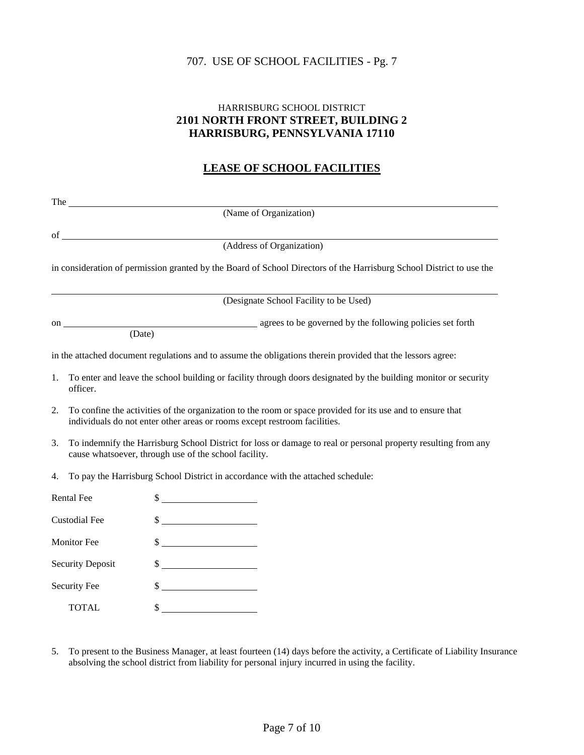## 707. USE OF SCHOOL FACILITIES - Pg. 7

## HARRISBURG SCHOOL DISTRICT **2101 NORTH FRONT STREET, BUILDING 2 HARRISBURG, PENNSYLVANIA 17110**

## **LEASE OF SCHOOL FACILITIES**

|                         | The $\qquad$                                                                                                                                                                            |                                                                                                                      |  |
|-------------------------|-----------------------------------------------------------------------------------------------------------------------------------------------------------------------------------------|----------------------------------------------------------------------------------------------------------------------|--|
|                         | (Name of Organization)                                                                                                                                                                  |                                                                                                                      |  |
|                         | $\sigma$ of $\sim$                                                                                                                                                                      |                                                                                                                      |  |
|                         |                                                                                                                                                                                         | (Address of Organization)                                                                                            |  |
|                         |                                                                                                                                                                                         | in consideration of permission granted by the Board of School Directors of the Harrisburg School District to use the |  |
|                         |                                                                                                                                                                                         | (Designate School Facility to be Used)                                                                               |  |
|                         | on $\qquad \qquad$<br>(Date)                                                                                                                                                            | agrees to be governed by the following policies set forth                                                            |  |
|                         |                                                                                                                                                                                         | in the attached document regulations and to assume the obligations therein provided that the lessors agree:          |  |
| 1.                      | To enter and leave the school building or facility through doors designated by the building monitor or security<br>officer.                                                             |                                                                                                                      |  |
| 2.                      | To confine the activities of the organization to the room or space provided for its use and to ensure that<br>individuals do not enter other areas or rooms except restroom facilities. |                                                                                                                      |  |
| 3.                      | To indemnify the Harrisburg School District for loss or damage to real or personal property resulting from any<br>cause whatsoever, through use of the school facility.                 |                                                                                                                      |  |
| 4.                      | To pay the Harrisburg School District in accordance with the attached schedule:                                                                                                         |                                                                                                                      |  |
|                         | Rental Fee                                                                                                                                                                              | $\frac{1}{2}$                                                                                                        |  |
| <b>Custodial Fee</b>    |                                                                                                                                                                                         | $\frac{1}{2}$                                                                                                        |  |
| <b>Monitor Fee</b>      |                                                                                                                                                                                         | $\frac{1}{2}$                                                                                                        |  |
| <b>Security Deposit</b> |                                                                                                                                                                                         | $\frac{1}{2}$                                                                                                        |  |
|                         | <b>Security Fee</b>                                                                                                                                                                     | $\frac{\sqrt{2}}{2}$                                                                                                 |  |
|                         | <b>TOTAL</b>                                                                                                                                                                            | $\frac{1}{2}$                                                                                                        |  |

5. To present to the Business Manager, at least fourteen (14) days before the activity, a Certificate of Liability Insurance absolving the school district from liability for personal injury incurred in using the facility.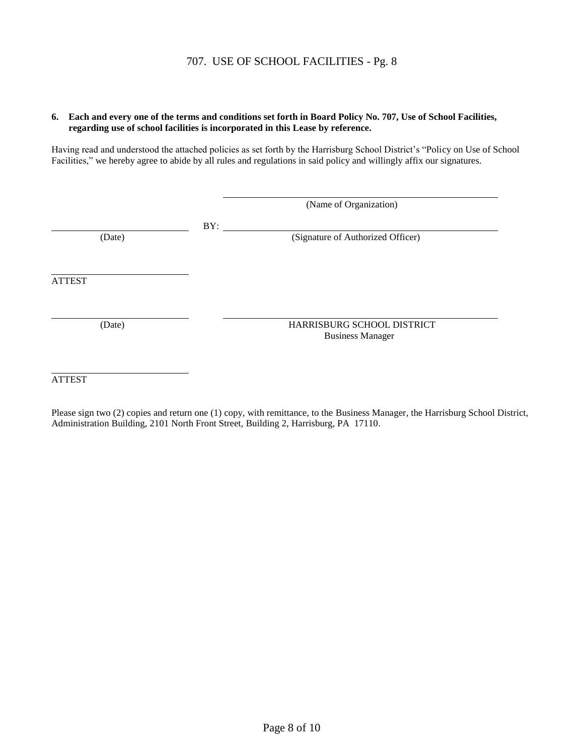#### **6. Each and every one of the terms and conditions set forth in Board Policy No. 707, Use of School Facilities, regarding use of school facilities is incorporated in this Lease by reference.**

Having read and understood the attached policies as set forth by the Harrisburg School District's "Policy on Use of School Facilities," we hereby agree to abide by all rules and regulations in said policy and willingly affix our signatures.

|               |     | (Name of Organization)                                |  |
|---------------|-----|-------------------------------------------------------|--|
| (Date)        | BY: | (Signature of Authorized Officer)                     |  |
| <b>ATTEST</b> |     |                                                       |  |
| (Date)        |     | HARRISBURG SCHOOL DISTRICT<br><b>Business Manager</b> |  |

ATTEST

Please sign two (2) copies and return one (1) copy, with remittance, to the Business Manager, the Harrisburg School District, Administration Building, 2101 North Front Street, Building 2, Harrisburg, PA 17110.